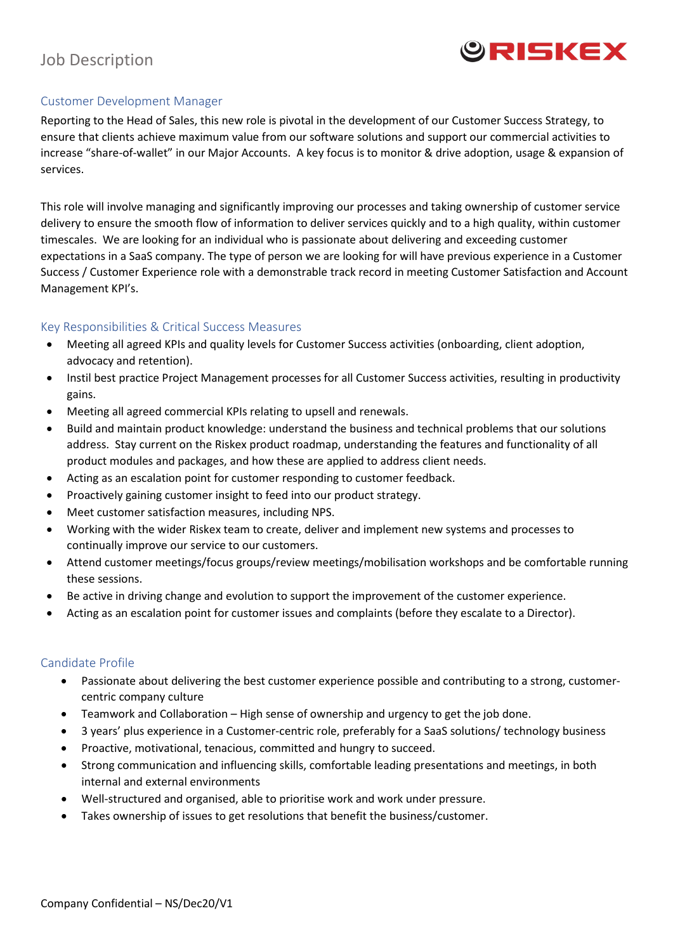# Job Description



### Customer Development Manager

Reporting to the Head of Sales, this new role is pivotal in the development of our Customer Success Strategy, to ensure that clients achieve maximum value from our software solutions and support our commercial activities to increase "share-of-wallet" in our Major Accounts. A key focus is to monitor & drive adoption, usage & expansion of services.

This role will involve managing and significantly improving our processes and taking ownership of customer service delivery to ensure the smooth flow of information to deliver services quickly and to a high quality, within customer timescales. We are looking for an individual who is passionate about delivering and exceeding customer expectations in a SaaS company. The type of person we are looking for will have previous experience in a Customer Success / Customer Experience role with a demonstrable track record in meeting Customer Satisfaction and Account Management KPI's.

### Key Responsibilities & Critical Success Measures

- Meeting all agreed KPIs and quality levels for Customer Success activities (onboarding, client adoption, advocacy and retention).
- Instil best practice Project Management processes for all Customer Success activities, resulting in productivity gains.
- Meeting all agreed commercial KPIs relating to upsell and renewals.
- Build and maintain product knowledge: understand the business and technical problems that our solutions address. Stay current on the Riskex product roadmap, understanding the features and functionality of all product modules and packages, and how these are applied to address client needs.
- Acting as an escalation point for customer responding to customer feedback.
- Proactively gaining customer insight to feed into our product strategy.
- Meet customer satisfaction measures, including NPS.
- Working with the wider Riskex team to create, deliver and implement new systems and processes to continually improve our service to our customers.
- Attend customer meetings/focus groups/review meetings/mobilisation workshops and be comfortable running these sessions.
- Be active in driving change and evolution to support the improvement of the customer experience.
- Acting as an escalation point for customer issues and complaints (before they escalate to a Director).

#### Candidate Profile

- Passionate about delivering the best customer experience possible and contributing to a strong, customercentric company culture
- Teamwork and Collaboration High sense of ownership and urgency to get the job done.
- 3 years' plus experience in a Customer-centric role, preferably for a SaaS solutions/ technology business
- Proactive, motivational, tenacious, committed and hungry to succeed.
- Strong communication and influencing skills, comfortable leading presentations and meetings, in both internal and external environments
- Well-structured and organised, able to prioritise work and work under pressure.
- Takes ownership of issues to get resolutions that benefit the business/customer.